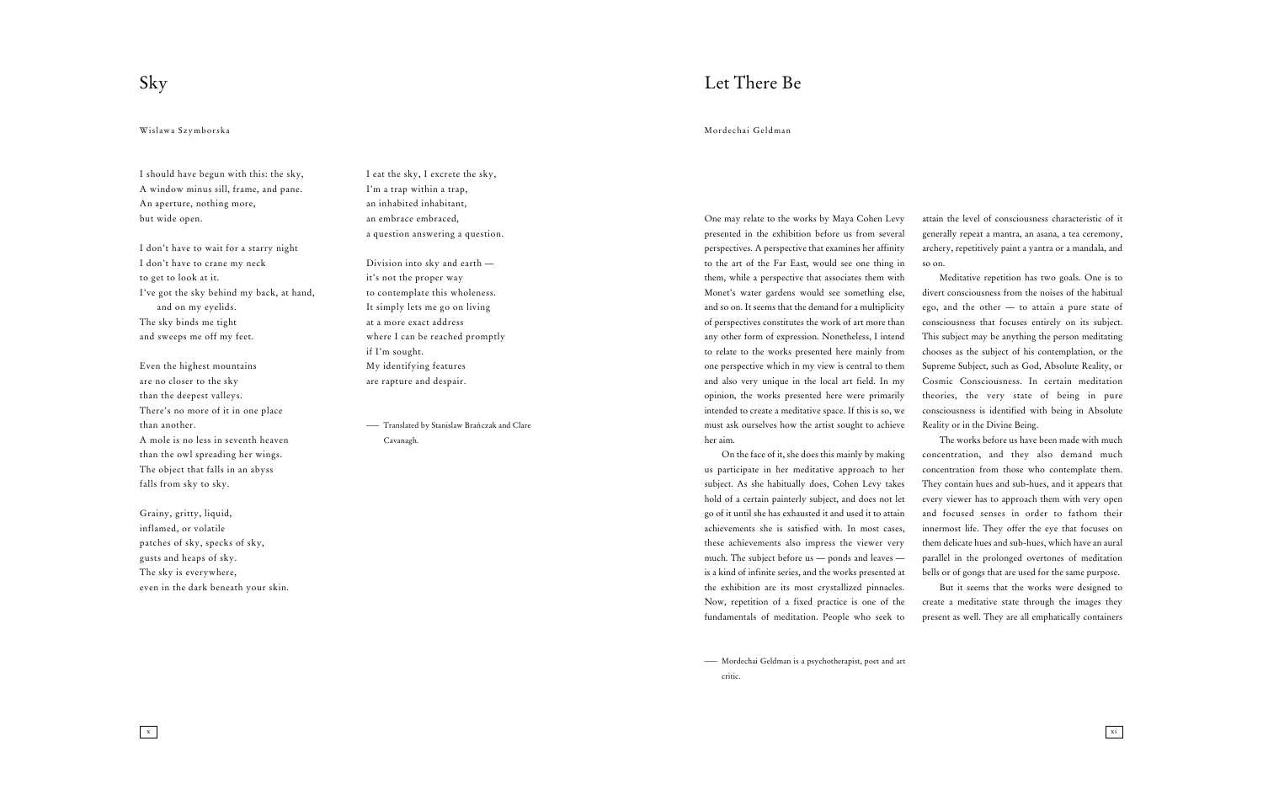I should have begun with this: the sky, A window minus sill, frame, and pane. An aperture, nothing more, but wide open.

I don't have to wait for a starry night I don't have to crane my neck to get to look at it. I've got the sky behind my back, at hand, and on my eyelids. The sky binds me tight and sweeps me off my feet.

Even the highest mountains are no closer to the sky than the deepest valleys. There's no more of it in one place than another. A mole is no less in seventh heaven than the owl spreading her wings. The object that falls in an abyss falls from sky to sky.

<sup>-</sup> Translated by Stanislaw Brańczak and Clare Cavanagh.

Grainy, gritty, liquid, inflamed, or volatile patches of sky, specks of sky, gusts and heaps of sky. The sky is everywhere, even in the dark beneath your skin.

 $\boxed{\phantom{1}x}$ 

I eat the sky, I excrete the sky, I'm a trap within a trap, an inhabited inhabitant, an embrace embraced, a question answering a question.

Division into sky and earth it's not the proper way to contemplate this wholeness. It simply lets me go on living at a more exact address where I can be reached promptly if I'm sought. My identifying features are rapture and despair.

# Sky

### Wislawa Szymborska

One may relate to the works by Maya Cohen Levy presented in the exhibition before us from several perspectives. A perspective that examines her affinity to the art of the Far East, would see one thing in them, while a perspective that associates them with Monet's water gardens would see something else, and so on. It seems that the demand for a multiplicity of perspectives constitutes the work of art more than any other form of expression. Nonetheless, I intend to relate to the works presented here mainly from one perspective which in my view is central to them and also very unique in the local art field. In my opinion, the works presented here were primarily intended to create a meditative space. If this is so, we must ask ourselves how the artist sought to achieve her aim.

On the face of it, she does this mainly by making us participate in her meditative approach to her subject. As she habitually does, Cohen Levy takes hold of a certain painterly subject, and does not let go of it until she has exhausted it and used it to attain achievements she is satisfied with. In most cases, these achievements also impress the viewer very much. The subject before us — ponds and leaves is a kind of infinite series, and the works presented at the exhibition are its most crystallized pinnacles. Now, repetition of a fixed practice is one of the fundamentals of meditation. People who seek to

attain the level of consciousness characteristic of it generally repeat a mantra, an asana, a tea ceremony, archery, repetitively paint a yantra or a mandala, and so on.

Meditative repetition has two goals. One is to divert consciousness from the noises of the habitual ego, and the other — to attain a pure state of consciousness that focuses entirely on its subject. This subject may be anything the person meditating chooses as the subject of his contemplation, or the Supreme Subject, such as God, Absolute Reality, or Cosmic Consciousness. In certain meditation theories, the very state of being in pure consciousness is identified with being in Absolute Reality or in the Divine Being.

The works before us have been made with much concentration, and they also demand much concentration from those who contemplate them. They contain hues and sub-hues, and it appears that every viewer has to approach them with very open and focused senses in order to fathom their innermost life. They offer the eye that focuses on them delicate hues and sub-hues, which have an aural parallel in the prolonged overtones of meditation bells or of gongs that are used for the same purpose.

But it seems that the works were designed to create a meditative state through the images they present as well. They are all emphatically containers

## Let There Be

Mordechai Geldman

— Mordechai Geldman is a psychotherapist, poet and art critic.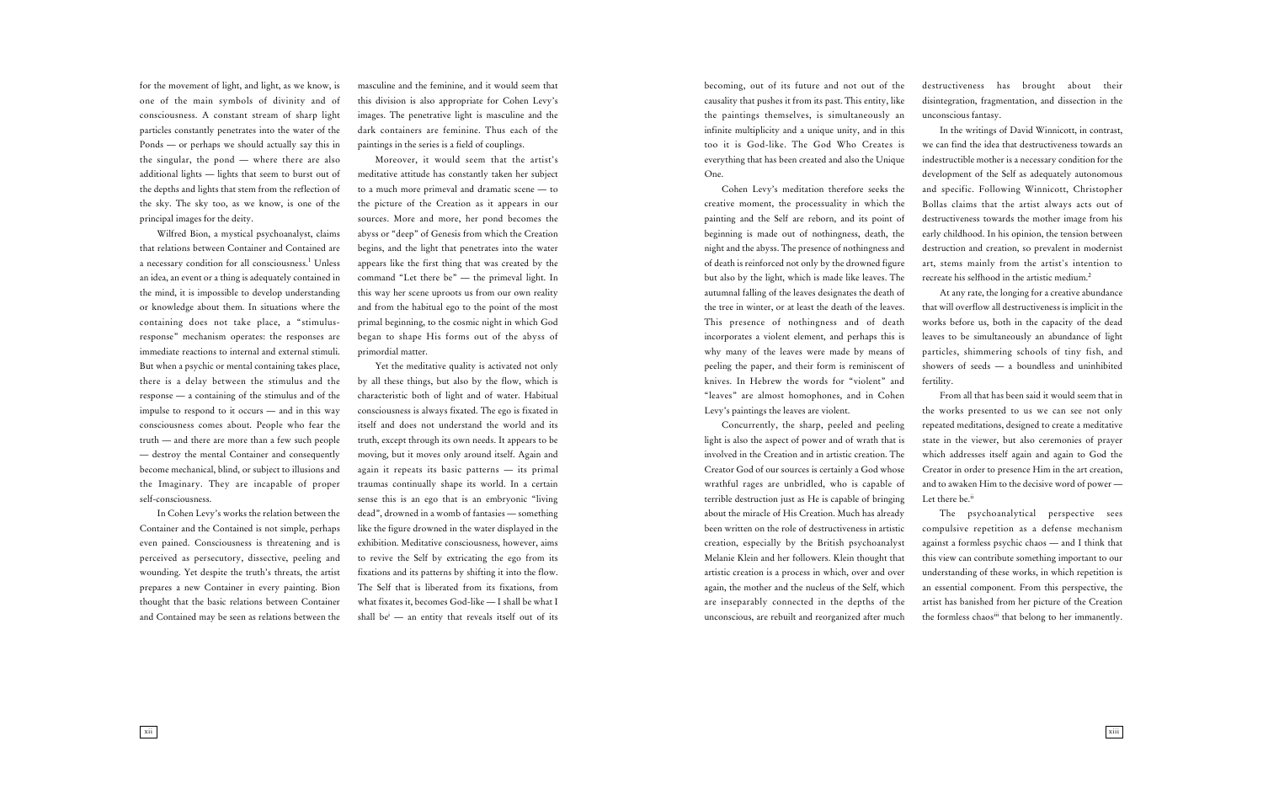for the movement of light, and light, as we know, is one of the main symbols of divinity and of consciousness. A constant stream of sharp light particles constantly penetrates into the water of the Ponds — or perhaps we should actually say this in the singular, the pond — where there are also additional lights — lights that seem to burst out of the depths and lights that stem from the reflection of the sky. The sky too, as we know, is one of the principal images for the deity.

Wilfred Bion, a mystical psychoanalyst, claims that relations between Container and Contained are a necessary condition for all consciousness.<sup>1</sup> Unless an idea, an event or a thing is adequately contained in the mind, it is impossible to develop understanding or knowledge about them. In situations where the containing does not take place, a "stimulusresponse" mechanism operates: the responses are immediate reactions to internal and external stimuli. But when a psychic or mental containing takes place, there is a delay between the stimulus and the response — a containing of the stimulus and of the impulse to respond to it occurs — and in this way consciousness comes about. People who fear the truth — and there are more than a few such people — destroy the mental Container and consequently become mechanical, blind, or subject to illusions and the Imaginary. They are incapable of proper self-consciousness.

Yet the meditative quality is activated not only by all these things, but also by the flow, which is characteristic both of light and of water. Habitual consciousness is always fixated. The ego is fixated in itself and does not understand the world and its truth, except through its own needs. It appears to be moving, but it moves only around itself. Again and again it repeats its basic patterns — its primal traumas continually shape its world. In a certain sense this is an ego that is an embryonic "living dead", drowned in a womb of fantasies — something like the figure drowned in the water displayed in the exhibition. Meditative consciousness, however, aims to revive the Self by extricating the ego from its fixations and its patterns by shifting it into the flow. The Self that is liberated from its fixations, from what fixates it, becomes God-like — I shall be what I shall be<sup>i</sup> — an entity that reveals itself out of its

In Cohen Levy's works the relation between the Container and the Contained is not simple, perhaps even pained. Consciousness is threatening and is perceived as persecutory, dissective, peeling and wounding. Yet despite the truth's threats, the artist prepares a new Container in every painting. Bion thought that the basic relations between Container and Contained may be seen as relations between the masculine and the feminine, and it would seem that this division is also appropriate for Cohen Levy's images. The penetrative light is masculine and the dark containers are feminine. Thus each of the paintings in the series is a field of couplings.

Moreover, it would seem that the artist's meditative attitude has constantly taken her subject to a much more primeval and dramatic scene — to the picture of the Creation as it appears in our sources. More and more, her pond becomes the abyss or "deep" of Genesis from which the Creation begins, and the light that penetrates into the water appears like the first thing that was created by the command "Let there be" — the primeval light. In this way her scene uproots us from our own reality and from the habitual ego to the point of the most primal beginning, to the cosmic night in which God began to shape His forms out of the abyss of primordial matter.

> From all that has been said it would seem that in the works presented to us we can see not only repeated meditations, designed to create a meditative state in the viewer, but also ceremonies of prayer which addresses itself again and again to God the Creator in order to presence Him in the art creation, and to awaken Him to the decisive word of power — Let there be.<sup>ii</sup>

> The psychoanalytical perspective sees compulsive repetition as a defense mechanism against a formless psychic chaos — and I think that this view can contribute something important to our understanding of these works, in which repetition is an essential component. From this perspective, the artist has banished from her picture of the Creation the formless chaos<sup>iii</sup> that belong to her immanently.

becoming, out of its future and not out of the causality that pushes it from its past. This entity, like the paintings themselves, is simultaneously an infinite multiplicity and a unique unity, and in this too it is God-like. The God Who Creates is everything that has been created and also the Unique One.

Cohen Levy's meditation therefore seeks the creative moment, the processuality in which the painting and the Self are reborn, and its point of beginning is made out of nothingness, death, the night and the abyss. The presence of nothingness and of death is reinforced not only by the drowned figure but also by the light, which is made like leaves. The autumnal falling of the leaves designates the death of the tree in winter, or at least the death of the leaves. This presence of nothingness and of death incorporates a violent element, and perhaps this is why many of the leaves were made by means of peeling the paper, and their form is reminiscent of knives. In Hebrew the words for "violent" and "leaves" are almost homophones, and in Cohen Levy's paintings the leaves are violent.

Concurrently, the sharp, peeled and peeling light is also the aspect of power and of wrath that is involved in the Creation and in artistic creation. The Creator God of our sources is certainly a God whose wrathful rages are unbridled, who is capable of terrible destruction just as He is capable of bringing about the miracle of His Creation. Much has already been written on the role of destructiveness in artistic creation, especially by the British psychoanalyst Melanie Klein and her followers. Klein thought that artistic creation is a process in which, over and over again, the mother and the nucleus of the Self, which are inseparably connected in the depths of the unconscious, are rebuilt and reorganized after much

destructiveness has brought about their disintegration, fragmentation, and dissection in the unconscious fantasy.

In the writings of David Winnicott, in contrast, we can find the idea that destructiveness towards an indestructible mother is a necessary condition for the development of the Self as adequately autonomous and specific. Following Winnicott, Christopher Bollas claims that the artist always acts out of destructiveness towards the mother image from his early childhood. In his opinion, the tension between destruction and creation, so prevalent in modernist art, stems mainly from the artist's intention to recreate his selfhood in the artistic medium.2

At any rate, the longing for a creative abundance that will overflow all destructiveness is implicit in the works before us, both in the capacity of the dead leaves to be simultaneously an abundance of light particles, shimmering schools of tiny fish, and showers of seeds — a boundless and uninhibited fertility.